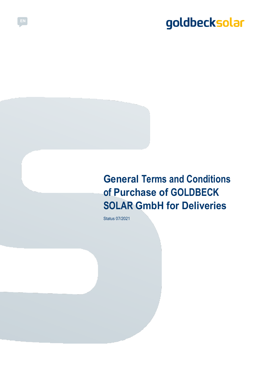### **General Terms and Conditions of Purchase of GOLDBECK SOLAR GmbH for Deliveries**

Status 07/2021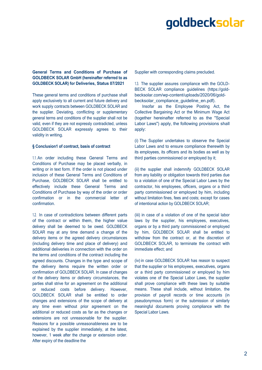### **General Terms and Conditions of Purchase of GOLDBECK SOLAR GmbH (hereinafter referred to as GOLDBECK SOLAR) for Deliveries, Status 07/2021**

These general terms and conditions of purchase shall apply exclusively to all current and future delivery and work supply contracts between GOLDBECK SOLAR and the supplier. Deviating, conflicting or supplementary general terms and conditions of the supplier shall not be valid, even if they are not expressly contradicted, unless GOLDBECK SOLAR expressly agrees to their validity in writing.

#### **§ Conclusion1 of contract, basis of contract**

1.1. An order including these General Terms and Conditions of Purchase may be placed verbally, in writing or in text form. If the order is not placed under inclusion of these General Terms and Conditions of Purchase, GOLDBECK SOLAR shall be entitled to effectively include these General Terms and Conditions of Purchase by way of the order or order confirmation or in the commercial letter of confirmation.

1.2. In case of contradictions between different parts of the contract or within them, the higher value delivery shall be deemed to be owed. GOLDBECK SOLAR may at any time demand a change of the delivery items or the agreed delivery circumstances (including delivery time and place of delivery) and additional deliveries in connection with the order on the terms and conditions of the contract including the agreed discounts. Changes in the type and scope of the delivery items require the written order or confirmation of GOLDBECK SOLAR. In case of changes of the delivery items or delivery circumstances, the parties shall strive for an agreement on the additional or reduced costs before delivery. However, GOLDBECK SOLAR shall be entitled to order changes and extensions of the scope of delivery at any time even without prior agreement on the additional or reduced costs as far as the changes or extensions are not unreasonable for the supplier. Reasons for a possible unreasonableness are to be explained by the supplier immediately, at the latest, however, 1 week after the change or extension order. After expiry of the deadline the

Supplier with corresponding claims precluded.

1.3. The supplier assures compliance with the GOLD-BECK SOLAR compliance guidelines (https://goldbecksolar.com/wp-content/uploads/2020/06/goldbecksolar\_compliance\_guideline\_en.pdf).

Insofar as the Employee Posting Act, the Collective Bargaining Act or the Minimum Wage Act (together hereinafter referred to as the "Special Labor Laws") apply, the following provisions shall apply:

(i) The Supplier undertakes to observe the Special Labor Laws and to ensure compliance therewith by its employees, its officers and its bodies as well as by third parties commissioned or employed by it;

(ii) the supplier shall indemnify GOLDBECK SOLAR from any liability or obligation towards third parties due to a violation of one of the Special Labor Laws by the contractor, his employees, officers, organs or a third party commissioned or employed by him, including without limitation fines, fees and costs; except for cases of intentional action by GOLDBECK SOLAR;

(iii) in case of a violation of one of the special labor laws by the supplier, his employees, executives, organs or by a third party commissioned or employed by him, GOLDBECK SOLAR shall be entitled to withdraw from the contract or, at the discretion of GOLDBECK SOLAR, to terminate the contract with immediate effect; and

(iv) in case GOLDBECK SOLAR has reason to suspect that the supplier or his employees, executives, organs or a third party commissioned or employed by him violates one of the Special Labor Laws, the supplier shall prove compliance with these laws by suitable means. These shall include, without limitation, the provision of payroll records or time accounts (in pseudonymous form) or the submission of similarly meaningful documents proving compliance with the Special Labor Laws.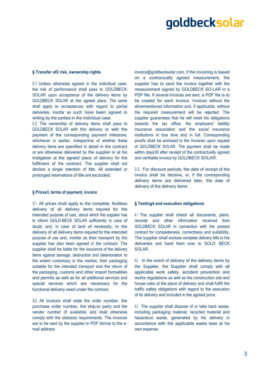#### **§ Transfer of2 risk, ownership rights**

2.1. Unless otherwise agreed in the individual case, the risk of performance shall pass to GOLDBECK SOLAR upon acceptance of the delivery items by GOLDBECK SOLAR at the agreed place. The same shall apply to acceptances with regard to partial deliveries, insofar as such have been agreed in writing by the parties in the individual case.

2.2. The ownership of delivery items shall pass to GOLDBECK SOLAR with this delivery or with the payment of the corresponding payment milestone, whichever is earlier, irrespective of whether these delivery items are specified in detail in the contract or are otherwise delivered by the supplier or at his instigation at the agreed place of delivery for the fulfilment of the contract. The supplier shall not declare a single retention of title. All extended or prolonged reservations of title are excluded.

#### **§ Prices3, terms of payment, invoice**

3.1. All prices shall apply to the complete, faultless delivery of all delivery items required for the intended purpose of use, about which the supplier has to inform GOLD-BECK SOLAR sufficiently in case of doubt, and, in case of lack of necessity, to the delivery of all delivery items required for the intended purpose of use and, insofar as their transport by the supplier has also been agreed in the contract, The supplier shall be liable for the insurance of the delivery items against damage, destruction and deterioration to the extent customary in the market, their packaging suitable for the intended transport and the return of the packaging, customs and other import formalities and permits as well as for all additional services and special services which are necessary for the functional delivery owed under the contract.

3.2. All invoices shall state the order number, the purchase order number, the ship-to party and the vendor number (if available) and shall otherwise comply with the statutory requirements. The invoices are to be sent by the supplier in PDF format to the email address

invoice@goldbecksolar.com. If the invoicing is based on a contractually agreed measurement, the supplier has to send the invoice together with the measurement signed by GOLDBECK SO-LAR in a PDF file. If several invoices are sent, a PDF file is to be created for each invoice. Invoices without the aforementioned information and, if applicable, without the required measurement will be rejected. The supplier guarantees that he will meet his obligations towards the tax office, the employers' liability insurance association and the social insurance institutions in due time and in full. Corresponding proofs shall be enclosed to the invoices upon request of GOLDBECK SOLAR. The payment shall be made within days30 after receipt of the contractually agreed and verifiable invoice by GOLDBECK SOLAR.

3.3. For discount periods, the date of receipt of the invoice shall be decisive, or, if the corresponding delivery items are delivered later, the date of delivery of the delivery items.

### **§ Testing4 and execution obligations**

4.1 The supplier shall check all documents, plans, records and other information received from GOLDBECK SOLAR in connection with the present contract for completeness, correctness and suitability. The supplier shall enclose complete delivery bills to his deliveries and hand them over to GOLD- BECK SOLAR.

4.2 In the event of delivery of the delivery items by the Supplier, the Supplier shall comply with all applicable work safety, accident prevention and works regulations as well as the construction site and house rules at the place of delivery and shall fulfill the traffic safety obligations with regard to the execution of its delivery and included in the agreed price.

4.3 The supplier shall dispose of or take back waste, including packaging material, recycled material and hazardous waste, generated by his delivery in accordance with the applicable waste laws at his own expense.